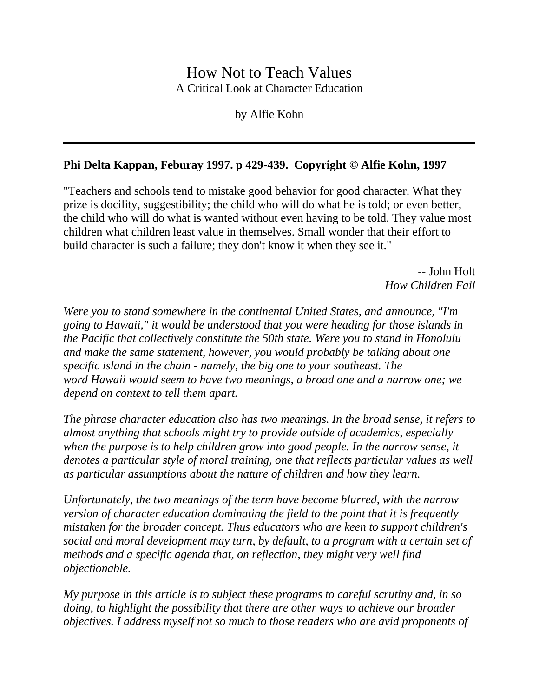## How Not to Teach Values A Critical Look at Character Education

by Alfie Kohn

## **Phi Delta Kappan, Feburay 1997. p 429-439. Copyright © Alfie Kohn, 1997**

"Teachers and schools tend to mistake good behavior for good character. What they prize is docility, suggestibility; the child who will do what he is told; or even better, the child who will do what is wanted without even having to be told. They value most children what children least value in themselves. Small wonder that their effort to build character is such a failure; they don't know it when they see it."

> -- John Holt *How Children Fail*

*Were you to stand somewhere in the continental United States, and announce, "I'm going to Hawaii," it would be understood that you were heading for those islands in the Pacific that collectively constitute the 50th state. Were you to stand in Honolulu and make the same statement, however, you would probably be talking about one specific island in the chain - namely, the big one to your southeast. The word Hawaii would seem to have two meanings, a broad one and a narrow one; we depend on context to tell them apart.*

*The phrase character education also has two meanings. In the broad sense, it refers to almost anything that schools might try to provide outside of academics, especially when the purpose is to help children grow into good people. In the narrow sense, it denotes a particular style of moral training, one that reflects particular values as well as particular assumptions about the nature of children and how they learn.*

*Unfortunately, the two meanings of the term have become blurred, with the narrow version of character education dominating the field to the point that it is frequently mistaken for the broader concept. Thus educators who are keen to support children's social and moral development may turn, by default, to a program with a certain set of methods and a specific agenda that, on reflection, they might very well find objectionable.*

*My purpose in this article is to subject these programs to careful scrutiny and, in so doing, to highlight the possibility that there are other ways to achieve our broader objectives. I address myself not so much to those readers who are avid proponents of*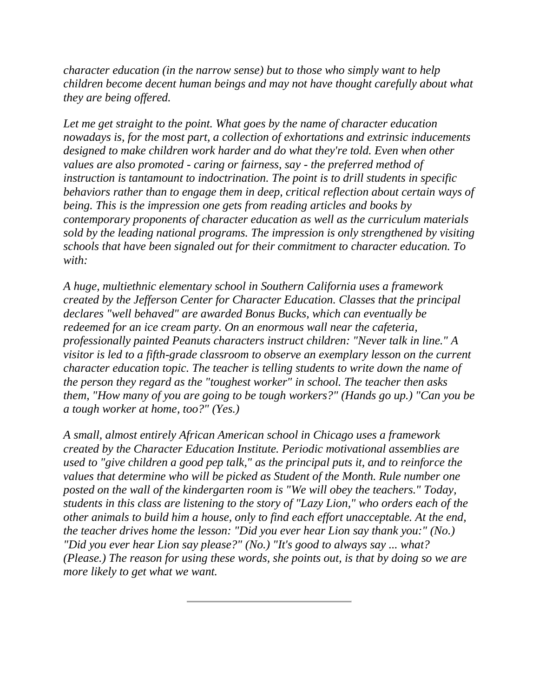*character education (in the narrow sense) but to those who simply want to help children become decent human beings and may not have thought carefully about what they are being offered.*

*Let me get straight to the point. What goes by the name of character education nowadays is, for the most part, a collection of exhortations and extrinsic inducements designed to make children work harder and do what they're told. Even when other values are also promoted - caring or fairness, say - the preferred method of instruction is tantamount to indoctrination. The point is to drill students in specific behaviors rather than to engage them in deep, critical reflection about certain ways of being. This is the impression one gets from reading articles and books by contemporary proponents of character education as well as the curriculum materials sold by the leading national programs. The impression is only strengthened by visiting schools that have been signaled out for their commitment to character education. To with:*

*A huge, multiethnic elementary school in Southern California uses a framework created by the Jefferson Center for Character Education. Classes that the principal declares "well behaved" are awarded Bonus Bucks, which can eventually be redeemed for an ice cream party. On an enormous wall near the cafeteria, professionally painted Peanuts characters instruct children: "Never talk in line." A visitor is led to a fifth-grade classroom to observe an exemplary lesson on the current character education topic. The teacher is telling students to write down the name of the person they regard as the "toughest worker" in school. The teacher then asks them, "How many of you are going to be tough workers?" (Hands go up.) "Can you be a tough worker at home, too?" (Yes.)*

*A small, almost entirely African American school in Chicago uses a framework created by the Character Education Institute. Periodic motivational assemblies are used to "give children a good pep talk," as the principal puts it, and to reinforce the values that determine who will be picked as Student of the Month. Rule number one posted on the wall of the kindergarten room is "We will obey the teachers." Today, students in this class are listening to the story of "Lazy Lion," who orders each of the other animals to build him a house, only to find each effort unacceptable. At the end, the teacher drives home the lesson: "Did you ever hear Lion say thank you:" (No.) "Did you ever hear Lion say please?" (No.) "It's good to always say ... what? (Please.) The reason for using these words, she points out, is that by doing so we are more likely to get what we want.*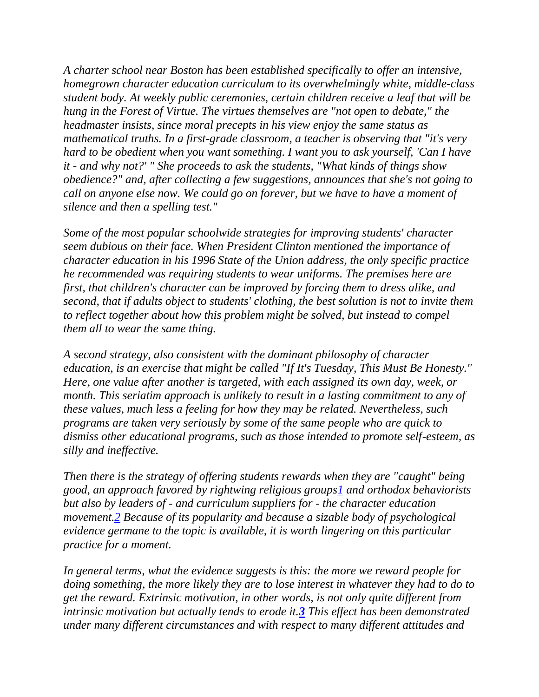*A charter school near Boston has been established specifically to offer an intensive, homegrown character education curriculum to its overwhelmingly white, middle-class student body. At weekly public ceremonies, certain children receive a leaf that will be hung in the Forest of Virtue. The virtues themselves are "not open to debate," the headmaster insists, since moral precepts in his view enjoy the same status as mathematical truths. In a first-grade classroom, a teacher is observing that "it's very hard to be obedient when you want something. I want you to ask yourself, 'Can I have it - and why not?' " She proceeds to ask the students, "What kinds of things show obedience?" and, after collecting a few suggestions, announces that she's not going to call on anyone else now. We could go on forever, but we have to have a moment of silence and then a spelling test."*

*Some of the most popular schoolwide strategies for improving students' character seem dubious on their face. When President Clinton mentioned the importance of character education in his 1996 State of the Union address, the only specific practice he recommended was requiring students to wear uniforms. The premises here are first, that children's character can be improved by forcing them to dress alike, and second, that if adults object to students' clothing, the best solution is not to invite them to reflect together about how this problem might be solved, but instead to compel them all to wear the same thing.*

*A second strategy, also consistent with the dominant philosophy of character education, is an exercise that might be called "If It's Tuesday, This Must Be Honesty." Here, one value after another is targeted, with each assigned its own day, week, or month. This seriatim approach is unlikely to result in a lasting commitment to any of these values, much less a feeling for how they may be related. Nevertheless, such programs are taken very seriously by some of the same people who are quick to dismiss other educational programs, such as those intended to promote self-esteem, as silly and ineffective.*

*Then there is the strategy of offering students rewards when they are "caught" being good, an approach favored by rightwing religious group[s1](file:///C:/Users/Michael/Desktop/AERA%20Stuff/Larry%20OldSite/kohn.html%231) and orthodox behaviorists but also by leaders of - and curriculum suppliers for - the character education movement[.2](file:///C:/Users/Michael/Desktop/AERA%20Stuff/Larry%20OldSite/kohn.html%232) Because of its popularity and because a sizable body of psychological evidence germane to the topic is available, it is worth lingering on this particular practice for a moment.*

*In general terms, what the evidence suggests is this: the more we reward people for doing something, the more likely they are to lose interest in whatever they had to do to get the reward. Extrinsic motivation, in other words, is not only quite different from intrinsic motivation but actually tends to erode it.[3](file:///C:/Users/Michael/Desktop/AERA%20Stuff/Larry%20OldSite/kohn.html%233) This effect has been demonstrated under many different circumstances and with respect to many different attitudes and*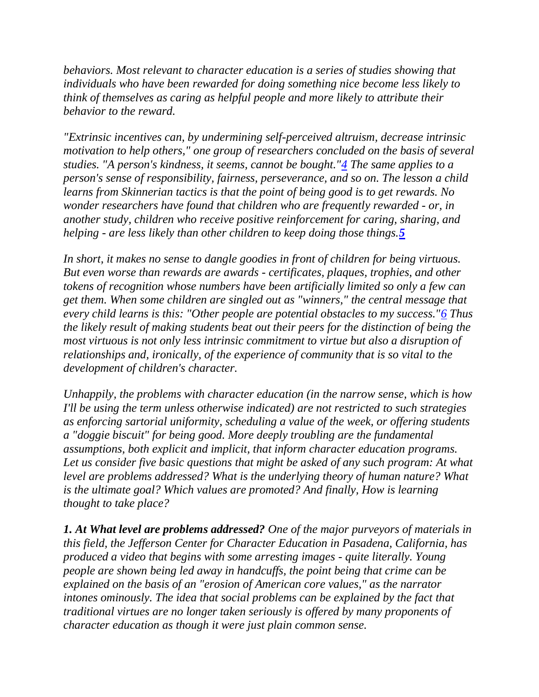*behaviors. Most relevant to character education is a series of studies showing that individuals who have been rewarded for doing something nice become less likely to think of themselves as caring as helpful people and more likely to attribute their behavior to the reward.*

*"Extrinsic incentives can, by undermining self-perceived altruism, decrease intrinsic motivation to help others," one group of researchers concluded on the basis of several studies. "A person's kindness, it seems, cannot be bought.["4](file:///C:/Users/Michael/Desktop/AERA%20Stuff/Larry%20OldSite/kohn.html%234) The same applies to a person's sense of responsibility, fairness, perseverance, and so on. The lesson a child learns from Skinnerian tactics is that the point of being good is to get rewards. No wonder researchers have found that children who are frequently rewarded - or, in another study, children who receive positive reinforcement for caring, sharing, and helping - are less likely than other children to keep doing those things.[5](file:///C:/Users/Michael/Desktop/AERA%20Stuff/Larry%20OldSite/kohn.html%235)*

*In short, it makes no sense to dangle goodies in front of children for being virtuous. But even worse than rewards are awards - certificates, plaques, trophies, and other tokens of recognition whose numbers have been artificially limited so only a few can get them. When some children are singled out as "winners," the central message that every child learns is this: "Other people are potential obstacles to my success.["6](file:///C:/Users/Michael/Desktop/AERA%20Stuff/Larry%20OldSite/kohn.html%236) Thus the likely result of making students beat out their peers for the distinction of being the most virtuous is not only less intrinsic commitment to virtue but also a disruption of relationships and, ironically, of the experience of community that is so vital to the development of children's character.*

*Unhappily, the problems with character education (in the narrow sense, which is how I'll be using the term unless otherwise indicated) are not restricted to such strategies as enforcing sartorial uniformity, scheduling a value of the week, or offering students a "doggie biscuit" for being good. More deeply troubling are the fundamental assumptions, both explicit and implicit, that inform character education programs.*  Let us consider five basic questions that might be asked of any such program: At what *level are problems addressed? What is the underlying theory of human nature? What is the ultimate goal? Which values are promoted? And finally, How is learning thought to take place?*

*1. At What level are problems addressed? One of the major purveyors of materials in this field, the Jefferson Center for Character Education in Pasadena, California, has produced a video that begins with some arresting images - quite literally. Young people are shown being led away in handcuffs, the point being that crime can be explained on the basis of an "erosion of American core values," as the narrator intones ominously. The idea that social problems can be explained by the fact that traditional virtues are no longer taken seriously is offered by many proponents of character education as though it were just plain common sense.*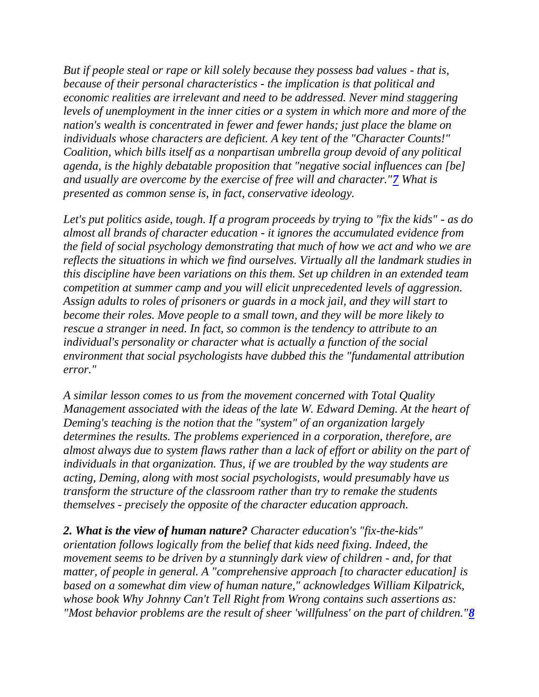*But if people steal or rape or kill solely because they possess bad values - that is, because of their personal characteristics - the implication is that political and economic realities are irrelevant and need to be addressed. Never mind staggering levels of unemployment in the inner cities or a system in which more and more of the nation's wealth is concentrated in fewer and fewer hands; just place the blame on individuals whose characters are deficient. A key tent of the "Character Counts!" Coalition, which bills itself as a nonpartisan umbrella group devoid of any political agenda, is the highly debatable proposition that "negative social influences can [be] and usually are overcome by the exercise of free will and character."[7](file:///C:/Users/Michael/Desktop/AERA%20Stuff/Larry%20OldSite/kohn.html%237) What is presented as common sense is, in fact, conservative ideology.*

*Let's put politics aside, tough. If a program proceeds by trying to "fix the kids" - as do almost all brands of character education - it ignores the accumulated evidence from the field of social psychology demonstrating that much of how we act and who we are reflects the situations in which we find ourselves. Virtually all the landmark studies in this discipline have been variations on this them. Set up children in an extended team competition at summer camp and you will elicit unprecedented levels of aggression. Assign adults to roles of prisoners or guards in a mock jail, and they will start to become their roles. Move people to a small town, and they will be more likely to rescue a stranger in need. In fact, so common is the tendency to attribute to an individual's personality or character what is actually a function of the social environment that social psychologists have dubbed this the "fundamental attribution error."*

*A similar lesson comes to us from the movement concerned with Total Quality Management associated with the ideas of the late W. Edward Deming. At the heart of Deming's teaching is the notion that the "system" of an organization largely determines the results. The problems experienced in a corporation, therefore, are almost always due to system flaws rather than a lack of effort or ability on the part of individuals in that organization. Thus, if we are troubled by the way students are acting, Deming, along with most social psychologists, would presumably have us transform the structure of the classroom rather than try to remake the students themselves - precisely the opposite of the character education approach.*

*2. What is the view of human nature? Character education's "fix-the-kids" orientation follows logically from the belief that kids need fixing. Indeed, the movement seems to be driven by a stunningly dark view of children - and, for that matter, of people in general. A "comprehensive approach [to character education] is based on a somewhat dim view of human nature," acknowledges William Kilpatrick, whose book Why Johnny Can't Tell Right from Wrong contains such assertions as: "Most behavior problems are the result of sheer 'willfulness' on the part of children."[8](file:///C:/Users/Michael/Desktop/AERA%20Stuff/Larry%20OldSite/kohn.html%238)*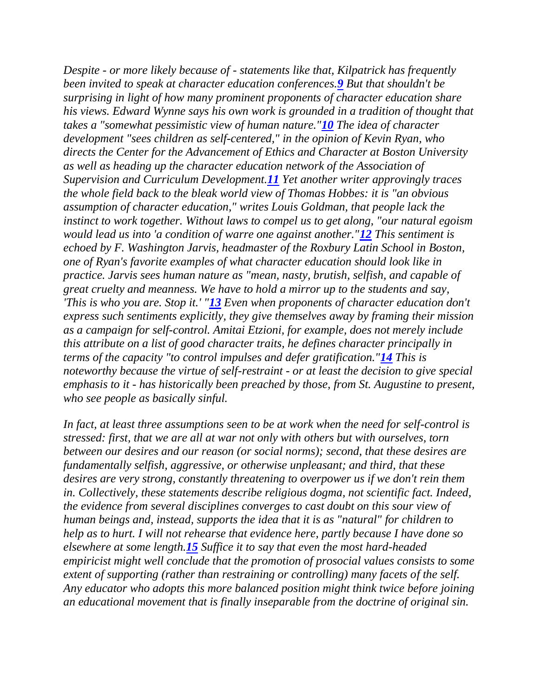*Despite - or more likely because of - statements like that, Kilpatrick has frequently been invited to speak at character education conferences.[9](file:///C:/Users/Michael/Desktop/AERA%20Stuff/Larry%20OldSite/kohn.html%239) But that shouldn't be surprising in light of how many prominent proponents of character education share his views. Edward Wynne says his own work is grounded in a tradition of thought that takes a "somewhat pessimistic view of human nature."[10](file:///C:/Users/Michael/Desktop/AERA%20Stuff/Larry%20OldSite/kohn.html%2310) The idea of character development "sees children as self-centered," in the opinion of Kevin Ryan, who directs the Center for the Advancement of Ethics and Character at Boston University as well as heading up the character education network of the Association of Supervision and Curriculum Development.[11](file:///C:/Users/Michael/Desktop/AERA%20Stuff/Larry%20OldSite/kohn.html%2311) Yet another writer approvingly traces the whole field back to the bleak world view of Thomas Hobbes: it is "an obvious assumption of character education," writes Louis Goldman, that people lack the instinct to work together. Without laws to compel us to get along, "our natural egoism would lead us into 'a condition of warre one against another."[12](file:///C:/Users/Michael/Desktop/AERA%20Stuff/Larry%20OldSite/kohn.html%2312) This sentiment is echoed by F. Washington Jarvis, headmaster of the Roxbury Latin School in Boston, one of Ryan's favorite examples of what character education should look like in practice. Jarvis sees human nature as "mean, nasty, brutish, selfish, and capable of great cruelty and meanness. We have to hold a mirror up to the students and say, 'This is who you are. Stop it.' "[13](file:///C:/Users/Michael/Desktop/AERA%20Stuff/Larry%20OldSite/kohn.html%2313) Even when proponents of character education don't express such sentiments explicitly, they give themselves away by framing their mission as a campaign for self-control. Amitai Etzioni, for example, does not merely include this attribute on a list of good character traits, he defines character principally in terms of the capacity "to control impulses and defer gratification."[14](file:///C:/Users/Michael/Desktop/AERA%20Stuff/Larry%20OldSite/kohn.html%2314) This is noteworthy because the virtue of self-restraint - or at least the decision to give special emphasis to it - has historically been preached by those, from St. Augustine to present, who see people as basically sinful.*

*In fact, at least three assumptions seen to be at work when the need for self-control is stressed: first, that we are all at war not only with others but with ourselves, torn between our desires and our reason (or social norms); second, that these desires are fundamentally selfish, aggressive, or otherwise unpleasant; and third, that these desires are very strong, constantly threatening to overpower us if we don't rein them in. Collectively, these statements describe religious dogma, not scientific fact. Indeed, the evidence from several disciplines converges to cast doubt on this sour view of human beings and, instead, supports the idea that it is as "natural" for children to help as to hurt. I will not rehearse that evidence here, partly because I have done so elsewhere at some length.[15](file:///C:/Users/Michael/Desktop/AERA%20Stuff/Larry%20OldSite/kohn.html%2315) Suffice it to say that even the most hard-headed empiricist might well conclude that the promotion of prosocial values consists to some extent of supporting (rather than restraining or controlling) many facets of the self. Any educator who adopts this more balanced position might think twice before joining an educational movement that is finally inseparable from the doctrine of original sin.*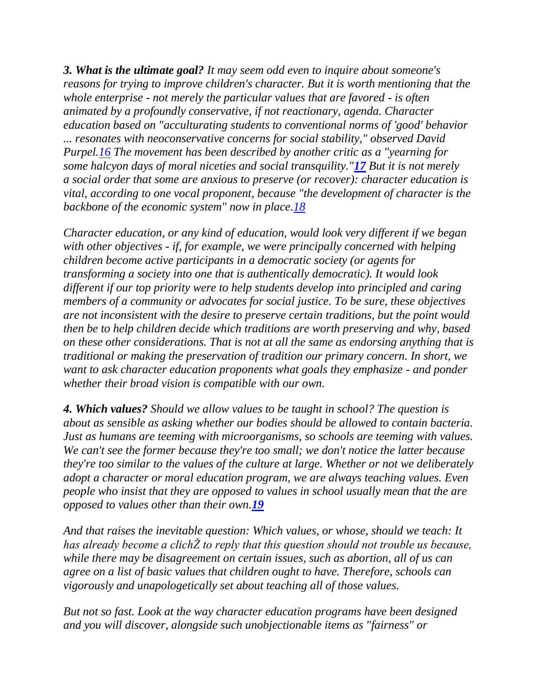*3. What is the ultimate goal? It may seem odd even to inquire about someone's reasons for trying to improve children's character. But it is worth mentioning that the whole enterprise - not merely the particular values that are favored - is often animated by a profoundly conservative, if not reactionary, agenda. Character education based on "acculturating students to conventional norms of 'good' behavior ... resonates with neoconservative concerns for social stability," observed David Purpel[.16](file:///C:/Users/Michael/Desktop/AERA%20Stuff/Larry%20OldSite/kohn.html%2316) The movement has been described by another critic as a "yearning for some halcyon days of moral niceties and social transquility."[17](file:///C:/Users/Michael/Desktop/AERA%20Stuff/Larry%20OldSite/kohn.html%2317) But it is not merely a social order that some are anxious to preserve (or recover): character education is vital, according to one vocal proponent, because "the development of character is the backbone of the economic system" now in place[.18](file:///C:/Users/Michael/Desktop/AERA%20Stuff/Larry%20OldSite/kohn.html%2318)*

*Character education, or any kind of education, would look very different if we began with other objectives - if, for example, we were principally concerned with helping children become active participants in a democratic society (or agents for transforming a society into one that is authentically democratic). It would look different if our top priority were to help students develop into principled and caring members of a community or advocates for social justice. To be sure, these objectives are not inconsistent with the desire to preserve certain traditions, but the point would then be to help children decide which traditions are worth preserving and why, based on these other considerations. That is not at all the same as endorsing anything that is traditional or making the preservation of tradition our primary concern. In short, we want to ask character education proponents what goals they emphasize - and ponder whether their broad vision is compatible with our own.*

*4. Which values? Should we allow values to be taught in school? The question is about as sensible as asking whether our bodies should be allowed to contain bacteria. Just as humans are teeming with microorganisms, so schools are teeming with values. We can't see the former because they're too small; we don't notice the latter because they're too similar to the values of the culture at large. Whether or not we deliberately adopt a character or moral education program, we are always teaching values. Even people who insist that they are opposed to values in school usually mean that the are opposed to values other than their own.[19](file:///C:/Users/Michael/Desktop/AERA%20Stuff/Larry%20OldSite/kohn.html%2319)*

*And that raises the inevitable question: Which values, or whose, should we teach: It has already become a clichŽ to reply that this question should not trouble us because, while there may be disagreement on certain issues, such as abortion, all of us can agree on a list of basic values that children ought to have. Therefore, schools can vigorously and unapologetically set about teaching all of those values.*

*But not so fast. Look at the way character education programs have been designed and you will discover, alongside such unobjectionable items as "fairness" or*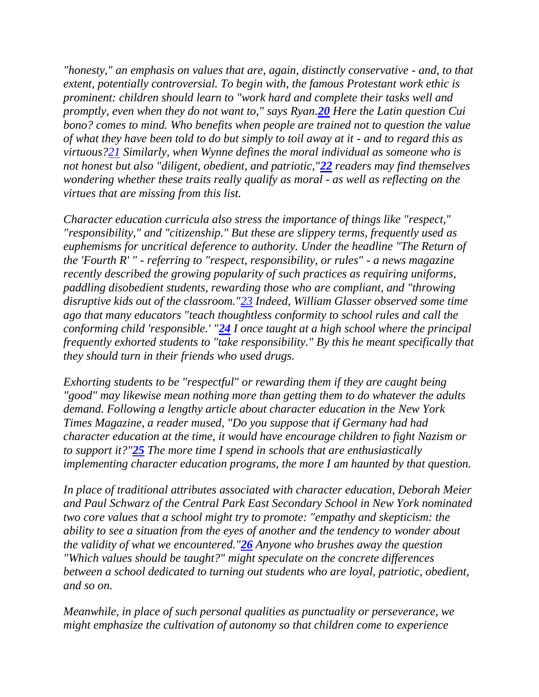*"honesty," an emphasis on values that are, again, distinctly conservative - and, to that extent, potentially controversial. To begin with, the famous Protestant work ethic is prominent: children should learn to "work hard and complete their tasks well and promptly, even when they do not want to," says Ryan.[20](file:///C:/Users/Michael/Desktop/AERA%20Stuff/Larry%20OldSite/kohn.html%2320) Here the Latin question Cui bono? comes to mind. Who benefits when people are trained not to question the value of what they have been told to do but simply to toil away at it - and to regard this as virtuous[?21](file:///C:/Users/Michael/Desktop/AERA%20Stuff/Larry%20OldSite/kohn.html%2321) Similarly, when Wynne defines the moral individual as someone who is not honest but also "diligent, obedient, and patriotic,"[22](file:///C:/Users/Michael/Desktop/AERA%20Stuff/Larry%20OldSite/kohn.html%2322) readers may find themselves wondering whether these traits really qualify as moral - as well as reflecting on the virtues that are missing from this list.*

*Character education curricula also stress the importance of things like "respect," "responsibility," and "citizenship." But these are slippery terms, frequently used as euphemisms for uncritical deference to authority. Under the headline "The Return of the 'Fourth R' " - referring to "respect, responsibility, or rules" - a news magazine recently described the growing popularity of such practices as requiring uniforms, paddling disobedient students, rewarding those who are compliant, and "throwing disruptive kids out of the classroom.["23](file:///C:/Users/Michael/Desktop/AERA%20Stuff/Larry%20OldSite/kohn.html%2323) Indeed, William Glasser observed some time ago that many educators "teach thoughtless conformity to school rules and call the conforming child 'responsible.' "[24](file:///C:/Users/Michael/Desktop/AERA%20Stuff/Larry%20OldSite/kohn.html%2324) I once taught at a high school where the principal frequently exhorted students to "take responsibility." By this he meant specifically that they should turn in their friends who used drugs.*

*Exhorting students to be "respectful" or rewarding them if they are caught being "good" may likewise mean nothing more than getting them to do whatever the adults demand. Following a lengthy article about character education in the New York Times Magazine, a reader mused, "Do you suppose that if Germany had had character education at the time, it would have encourage children to fight Nazism or to support it?"[25](file:///C:/Users/Michael/Desktop/AERA%20Stuff/Larry%20OldSite/kohn.html%2325) The more time I spend in schools that are enthusiastically implementing character education programs, the more I am haunted by that question.*

*In place of traditional attributes associated with character education, Deborah Meier and Paul Schwarz of the Central Park East Secondary School in New York nominated two core values that a school might try to promote: "empathy and skepticism: the ability to see a situation from the eyes of another and the tendency to wonder about the validity of what we encountered."[26](file:///C:/Users/Michael/Desktop/AERA%20Stuff/Larry%20OldSite/kohn.html%2326) Anyone who brushes away the question "Which values should be taught?" might speculate on the concrete differences between a school dedicated to turning out students who are loyal, patriotic, obedient, and so on.*

*Meanwhile, in place of such personal qualities as punctuality or perseverance, we might emphasize the cultivation of autonomy so that children come to experience*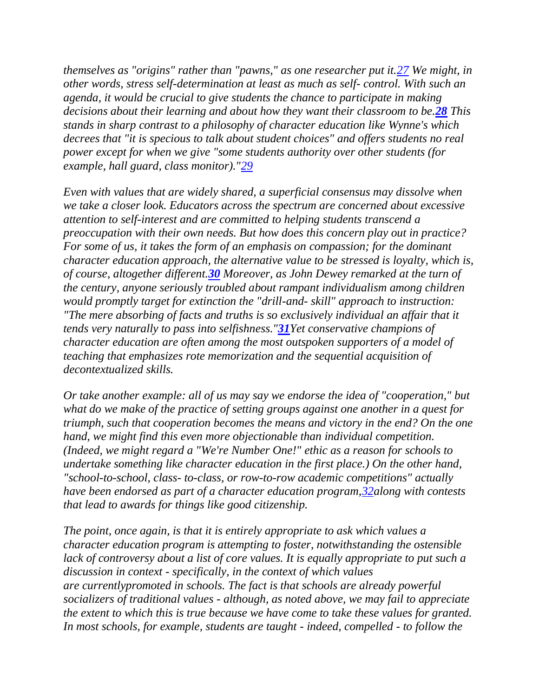*themselves as "origins" rather than "pawns," as one researcher put it[.27](file:///C:/Users/Michael/Desktop/AERA%20Stuff/Larry%20OldSite/kohn.html%2327) We might, in other words, stress self-determination at least as much as self- control. With such an agenda, it would be crucial to give students the chance to participate in making decisions about their learning and about how they want their classroom to be.[28](file:///C:/Users/Michael/Desktop/AERA%20Stuff/Larry%20OldSite/kohn.html%2328) This stands in sharp contrast to a philosophy of character education like Wynne's which decrees that "it is specious to talk about student choices" and offers students no real power except for when we give "some students authority over other students (for example, hall guard, class monitor).["29](file:///C:/Users/Michael/Desktop/AERA%20Stuff/Larry%20OldSite/kohn.html%2329)*

*Even with values that are widely shared, a superficial consensus may dissolve when we take a closer look. Educators across the spectrum are concerned about excessive attention to self-interest and are committed to helping students transcend a preoccupation with their own needs. But how does this concern play out in practice? For some of us, it takes the form of an emphasis on compassion; for the dominant character education approach, the alternative value to be stressed is loyalty, which is, of course, altogether different.[30](file:///C:/Users/Michael/Desktop/AERA%20Stuff/Larry%20OldSite/kohn.html%2330) Moreover, as John Dewey remarked at the turn of the century, anyone seriously troubled about rampant individualism among children would promptly target for extinction the "drill-and- skill" approach to instruction: "The mere absorbing of facts and truths is so exclusively individual an affair that it tends very naturally to pass into selfishness."[31](file:///C:/Users/Michael/Desktop/AERA%20Stuff/Larry%20OldSite/kohn.html%2331)Yet conservative champions of character education are often among the most outspoken supporters of a model of teaching that emphasizes rote memorization and the sequential acquisition of decontextualized skills.*

*Or take another example: all of us may say we endorse the idea of "cooperation," but what do we make of the practice of setting groups against one another in a quest for triumph, such that cooperation becomes the means and victory in the end? On the one hand, we might find this even more objectionable than individual competition. (Indeed, we might regard a "We're Number One!" ethic as a reason for schools to undertake something like character education in the first place.) On the other hand, "school-to-school, class- to-class, or row-to-row academic competitions" actually have been endorsed as part of a character education program[,32a](file:///C:/Users/Michael/Desktop/AERA%20Stuff/Larry%20OldSite/kohn.html%2332)long with contests that lead to awards for things like good citizenship.*

*The point, once again, is that it is entirely appropriate to ask which values a character education program is attempting to foster, notwithstanding the ostensible*  lack of controversy about a list of core values. It is equally appropriate to put such a *discussion in context - specifically, in the context of which values are currentlypromoted in schools. The fact is that schools are already powerful socializers of traditional values - although, as noted above, we may fail to appreciate the extent to which this is true because we have come to take these values for granted. In most schools, for example, students are taught - indeed, compelled - to follow the*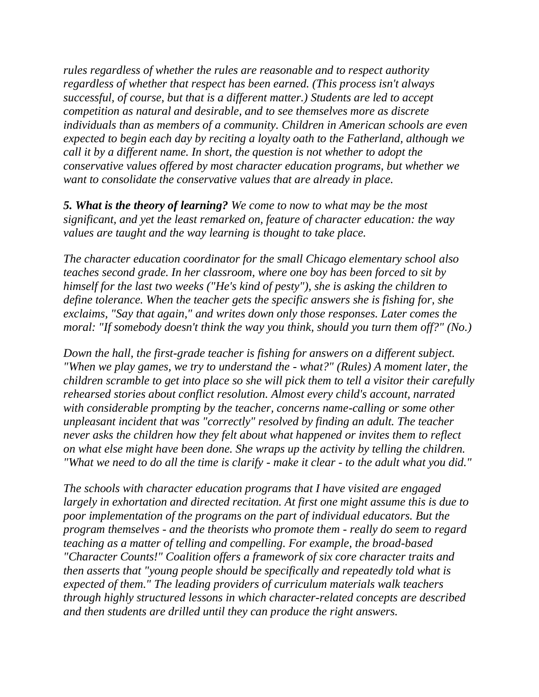*rules regardless of whether the rules are reasonable and to respect authority regardless of whether that respect has been earned. (This process isn't always successful, of course, but that is a different matter.) Students are led to accept competition as natural and desirable, and to see themselves more as discrete individuals than as members of a community. Children in American schools are even expected to begin each day by reciting a loyalty oath to the Fatherland, although we call it by a different name. In short, the question is not whether to adopt the conservative values offered by most character education programs, but whether we want to consolidate the conservative values that are already in place.*

*5. What is the theory of learning? We come to now to what may be the most significant, and yet the least remarked on, feature of character education: the way values are taught and the way learning is thought to take place.*

*The character education coordinator for the small Chicago elementary school also teaches second grade. In her classroom, where one boy has been forced to sit by himself for the last two weeks ("He's kind of pesty"), she is asking the children to define tolerance. When the teacher gets the specific answers she is fishing for, she exclaims, "Say that again," and writes down only those responses. Later comes the moral: "If somebody doesn't think the way you think, should you turn them off?" (No.)*

*Down the hall, the first-grade teacher is fishing for answers on a different subject. "When we play games, we try to understand the - what?" (Rules) A moment later, the children scramble to get into place so she will pick them to tell a visitor their carefully rehearsed stories about conflict resolution. Almost every child's account, narrated with considerable prompting by the teacher, concerns name-calling or some other unpleasant incident that was "correctly" resolved by finding an adult. The teacher never asks the children how they felt about what happened or invites them to reflect on what else might have been done. She wraps up the activity by telling the children. "What we need to do all the time is clarify - make it clear - to the adult what you did."*

*The schools with character education programs that I have visited are engaged largely in exhortation and directed recitation. At first one might assume this is due to poor implementation of the programs on the part of individual educators. But the program themselves - and the theorists who promote them - really do seem to regard teaching as a matter of telling and compelling. For example, the broad-based "Character Counts!" Coalition offers a framework of six core character traits and then asserts that "young people should be specifically and repeatedly told what is expected of them." The leading providers of curriculum materials walk teachers through highly structured lessons in which character-related concepts are described and then students are drilled until they can produce the right answers.*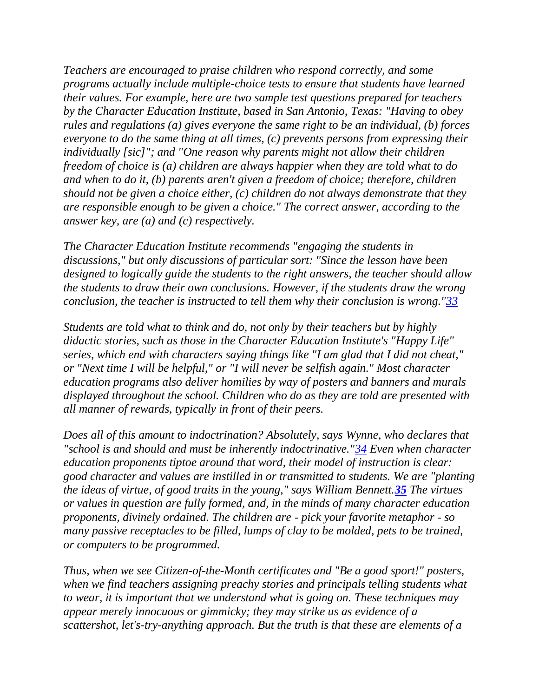*Teachers are encouraged to praise children who respond correctly, and some programs actually include multiple-choice tests to ensure that students have learned their values. For example, here are two sample test questions prepared for teachers by the Character Education Institute, based in San Antonio, Texas: "Having to obey rules and regulations (a) gives everyone the same right to be an individual, (b) forces everyone to do the same thing at all times, (c) prevents persons from expressing their individually [sic]"; and "One reason why parents might not allow their children freedom of choice is (a) children are always happier when they are told what to do and when to do it, (b) parents aren't given a freedom of choice; therefore, children should not be given a choice either, (c) children do not always demonstrate that they are responsible enough to be given a choice." The correct answer, according to the answer key, are (a) and (c) respectively.*

*The Character Education Institute recommends "engaging the students in discussions," but only discussions of particular sort: "Since the lesson have been designed to logically guide the students to the right answers, the teacher should allow the students to draw their own conclusions. However, if the students draw the wrong conclusion, the teacher is instructed to tell them why their conclusion is wrong.["33](file:///C:/Users/Michael/Desktop/AERA%20Stuff/Larry%20OldSite/kohn.html%2333)*

*Students are told what to think and do, not only by their teachers but by highly didactic stories, such as those in the Character Education Institute's "Happy Life" series, which end with characters saying things like "I am glad that I did not cheat," or "Next time I will be helpful," or "I will never be selfish again." Most character education programs also deliver homilies by way of posters and banners and murals displayed throughout the school. Children who do as they are told are presented with all manner of rewards, typically in front of their peers.*

*Does all of this amount to indoctrination? Absolutely, says Wynne, who declares that "school is and should and must be inherently indoctrinative.["34](file:///C:/Users/Michael/Desktop/AERA%20Stuff/Larry%20OldSite/kohn.html%2334) Even when character education proponents tiptoe around that word, their model of instruction is clear: good character and values are instilled in or transmitted to students. We are "planting the ideas of virtue, of good traits in the young," says William Bennett.[35](file:///C:/Users/Michael/Desktop/AERA%20Stuff/Larry%20OldSite/kohn.html%2335) The virtues or values in question are fully formed, and, in the minds of many character education proponents, divinely ordained. The children are - pick your favorite metaphor - so many passive receptacles to be filled, lumps of clay to be molded, pets to be trained, or computers to be programmed.*

*Thus, when we see Citizen-of-the-Month certificates and "Be a good sport!" posters, when we find teachers assigning preachy stories and principals telling students what to wear, it is important that we understand what is going on. These techniques may appear merely innocuous or gimmicky; they may strike us as evidence of a scattershot, let's-try-anything approach. But the truth is that these are elements of a*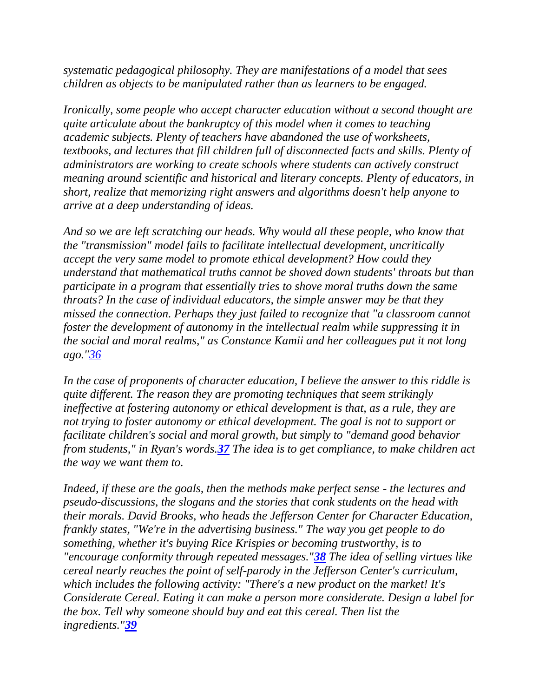*systematic pedagogical philosophy. They are manifestations of a model that sees children as objects to be manipulated rather than as learners to be engaged.*

*Ironically, some people who accept character education without a second thought are quite articulate about the bankruptcy of this model when it comes to teaching academic subjects. Plenty of teachers have abandoned the use of worksheets, textbooks, and lectures that fill children full of disconnected facts and skills. Plenty of administrators are working to create schools where students can actively construct meaning around scientific and historical and literary concepts. Plenty of educators, in short, realize that memorizing right answers and algorithms doesn't help anyone to arrive at a deep understanding of ideas.*

And so we are left scratching our heads. Why would all these people, who know that *the "transmission" model fails to facilitate intellectual development, uncritically accept the very same model to promote ethical development? How could they understand that mathematical truths cannot be shoved down students' throats but than participate in a program that essentially tries to shove moral truths down the same throats? In the case of individual educators, the simple answer may be that they missed the connection. Perhaps they just failed to recognize that "a classroom cannot foster the development of autonomy in the intellectual realm while suppressing it in the social and moral realms," as Constance Kamii and her colleagues put it not long ago.["36](file:///C:/Users/Michael/Desktop/AERA%20Stuff/Larry%20OldSite/kohn.html%2336)*

*In the case of proponents of character education, I believe the answer to this riddle is quite different. The reason they are promoting techniques that seem strikingly ineffective at fostering autonomy or ethical development is that, as a rule, they are not trying to foster autonomy or ethical development. The goal is not to support or facilitate children's social and moral growth, but simply to "demand good behavior from students," in Ryan's words.[37](file:///C:/Users/Michael/Desktop/AERA%20Stuff/Larry%20OldSite/kohn.html%2337) The idea is to get compliance, to make children act the way we want them to.*

*Indeed, if these are the goals, then the methods make perfect sense - the lectures and pseudo-discussions, the slogans and the stories that conk students on the head with their morals. David Brooks, who heads the Jefferson Center for Character Education, frankly states, "We're in the advertising business." The way you get people to do something, whether it's buying Rice Krispies or becoming trustworthy, is to "encourage conformity through repeated messages."[38](file:///C:/Users/Michael/Desktop/AERA%20Stuff/Larry%20OldSite/kohn.html%2338) The idea of selling virtues like cereal nearly reaches the point of self-parody in the Jefferson Center's curriculum, which includes the following activity: "There's a new product on the market! It's Considerate Cereal. Eating it can make a person more considerate. Design a label for the box. Tell why someone should buy and eat this cereal. Then list the ingredients."[39](file:///C:/Users/Michael/Desktop/AERA%20Stuff/Larry%20OldSite/article10.htmltml10refs.html%2339)*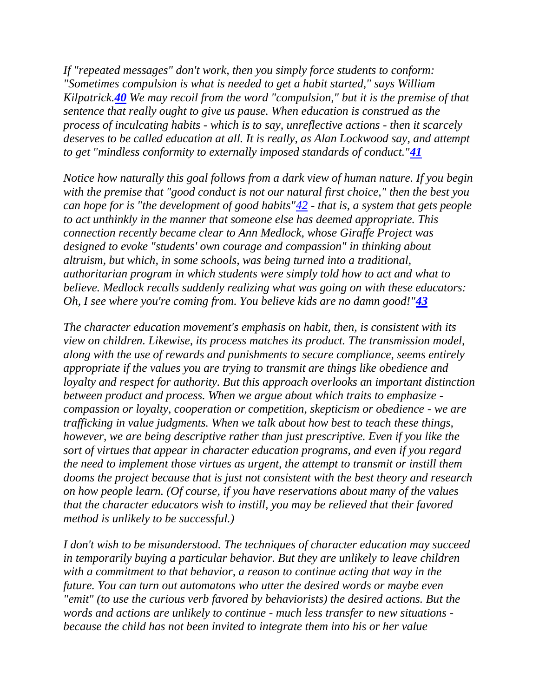*If "repeated messages" don't work, then you simply force students to conform: "Sometimes compulsion is what is needed to get a habit started," says William Kilpatrick.[40](file:///C:/Users/Michael/Desktop/AERA%20Stuff/Larry%20OldSite/kohn.html%2340) We may recoil from the word "compulsion," but it is the premise of that sentence that really ought to give us pause. When education is construed as the process of inculcating habits - which is to say, unreflective actions - then it scarcely deserves to be called education at all. It is really, as Alan Lockwood say, and attempt to get "mindless conformity to externally imposed standards of conduct."[41](file:///C:/Users/Michael/Desktop/AERA%20Stuff/Larry%20OldSite/kohn.html%2341)*

*Notice how naturally this goal follows from a dark view of human nature. If you begin with the premise that "good conduct is not our natural first choice," then the best you can hope for is "the development of good habits["42](file:///C:/Users/Michael/Desktop/AERA%20Stuff/Larry%20OldSite/kohn.html%2342) - that is, a system that gets people to act unthinkly in the manner that someone else has deemed appropriate. This connection recently became clear to Ann Medlock, whose Giraffe Project was designed to evoke "students' own courage and compassion" in thinking about altruism, but which, in some schools, was being turned into a traditional, authoritarian program in which students were simply told how to act and what to believe. Medlock recalls suddenly realizing what was going on with these educators: Oh, I see where you're coming from. You believe kids are no damn good!"[43](file:///C:/Users/Michael/Desktop/AERA%20Stuff/Larry%20OldSite/kohn.html%2343)*

*The character education movement's emphasis on habit, then, is consistent with its view on children. Likewise, its process matches its product. The transmission model, along with the use of rewards and punishments to secure compliance, seems entirely appropriate if the values you are trying to transmit are things like obedience and loyalty and respect for authority. But this approach overlooks an important distinction between product and process. When we argue about which traits to emphasize compassion or loyalty, cooperation or competition, skepticism or obedience - we are trafficking in value judgments. When we talk about how best to teach these things, however, we are being descriptive rather than just prescriptive. Even if you like the sort of virtues that appear in character education programs, and even if you regard the need to implement those virtues as urgent, the attempt to transmit or instill them dooms the project because that is just not consistent with the best theory and research on how people learn. (Of course, if you have reservations about many of the values that the character educators wish to instill, you may be relieved that their favored method is unlikely to be successful.)*

*I don't wish to be misunderstood. The techniques of character education may succeed in temporarily buying a particular behavior. But they are unlikely to leave children with a commitment to that behavior, a reason to continue acting that way in the future. You can turn out automatons who utter the desired words or maybe even "emit" (to use the curious verb favored by behaviorists) the desired actions. But the words and actions are unlikely to continue - much less transfer to new situations because the child has not been invited to integrate them into his or her value*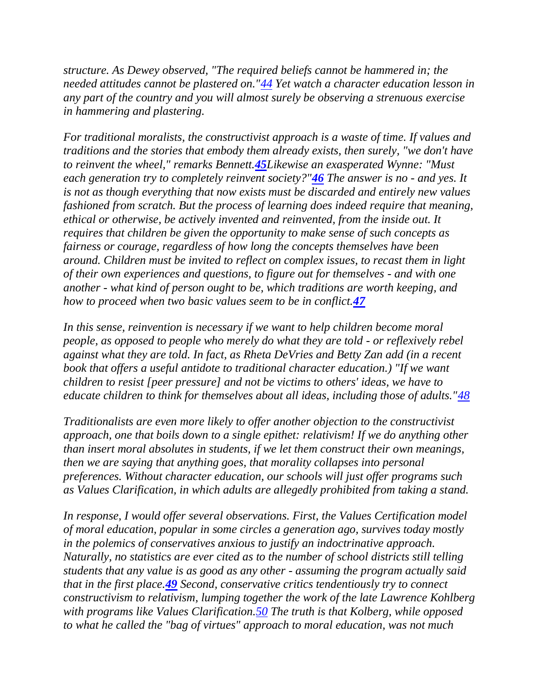*structure. As Dewey observed, "The required beliefs cannot be hammered in; the needed attitudes cannot be plastered on.["44](file:///C:/Users/Michael/Desktop/AERA%20Stuff/Larry%20OldSite/kohn.html%2344) Yet watch a character education lesson in any part of the country and you will almost surely be observing a strenuous exercise in hammering and plastering.*

*For traditional moralists, the constructivist approach is a waste of time. If values and traditions and the stories that embody them already exists, then surely, "we don't have to reinvent the wheel," remarks Bennett.[45](file:///C:/Users/Michael/Desktop/AERA%20Stuff/Larry%20OldSite/kohn.html%2345)Likewise an exasperated Wynne: "Must each generation try to completely reinvent society?"[46](file:///C:/Users/Michael/Desktop/AERA%20Stuff/Larry%20OldSite/kohn.html%2346) The answer is no - and yes. It is not as though everything that now exists must be discarded and entirely new values fashioned from scratch. But the process of learning does indeed require that meaning, ethical or otherwise, be actively invented and reinvented, from the inside out. It requires that children be given the opportunity to make sense of such concepts as fairness or courage, regardless of how long the concepts themselves have been around. Children must be invited to reflect on complex issues, to recast them in light of their own experiences and questions, to figure out for themselves - and with one another - what kind of person ought to be, which traditions are worth keeping, and how to proceed when two basic values seem to be in conflict.[47](file:///C:/Users/Michael/Desktop/AERA%20Stuff/Larry%20OldSite/kohn.html%2347)*

*In this sense, reinvention is necessary if we want to help children become moral people, as opposed to people who merely do what they are told - or reflexively rebel against what they are told. In fact, as Rheta DeVries and Betty Zan add (in a recent book that offers a useful antidote to traditional character education.) "If we want children to resist [peer pressure] and not be victims to others' ideas, we have to educate children to think for themselves about all ideas, including those of adults.["48](file:///C:/Users/Michael/Desktop/AERA%20Stuff/Larry%20OldSite/kohn.html%2348)*

*Traditionalists are even more likely to offer another objection to the constructivist approach, one that boils down to a single epithet: relativism! If we do anything other than insert moral absolutes in students, if we let them construct their own meanings, then we are saying that anything goes, that morality collapses into personal preferences. Without character education, our schools will just offer programs such as Values Clarification, in which adults are allegedly prohibited from taking a stand.*

*In response, I would offer several observations. First, the Values Certification model of moral education, popular in some circles a generation ago, survives today mostly in the polemics of conservatives anxious to justify an indoctrinative approach. Naturally, no statistics are ever cited as to the number of school districts still telling students that any value is as good as any other - assuming the program actually said that in the first place.[49](file:///C:/Users/Michael/Desktop/AERA%20Stuff/Larry%20OldSite/kohn.html%2349) Second, conservative critics tendentiously try to connect constructivism to relativism, lumping together the work of the late Lawrence Kohlberg with programs like Values Clarification[.50](file:///C:/Users/Michael/Desktop/AERA%20Stuff/Larry%20OldSite/kohn.html%2350) The truth is that Kolberg, while opposed to what he called the "bag of virtues" approach to moral education, was not much*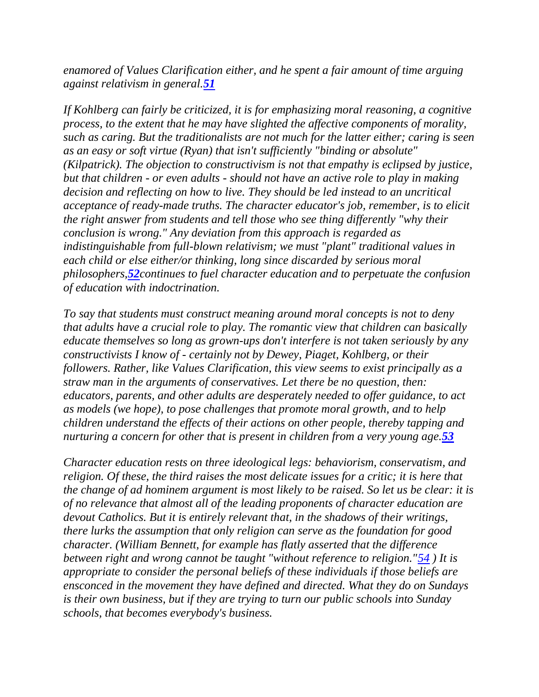*enamored of Values Clarification either, and he spent a fair amount of time arguing against relativism in general.[51](file:///C:/Users/Michael/Desktop/AERA%20Stuff/Larry%20OldSite/kohn.html%2351)*

*If Kohlberg can fairly be criticized, it is for emphasizing moral reasoning, a cognitive process, to the extent that he may have slighted the affective components of morality, such as caring. But the traditionalists are not much for the latter either; caring is seen as an easy or soft virtue (Ryan) that isn't sufficiently "binding or absolute" (Kilpatrick). The objection to constructivism is not that empathy is eclipsed by justice, but that children - or even adults - should not have an active role to play in making decision and reflecting on how to live. They should be led instead to an uncritical acceptance of ready-made truths. The character educator's job, remember, is to elicit the right answer from students and tell those who see thing differently "why their conclusion is wrong." Any deviation from this approach is regarded as indistinguishable from full-blown relativism; we must "plant" traditional values in each child or else either/or thinking, long since discarded by serious moral philosophers,[52](file:///C:/Users/Michael/Desktop/AERA%20Stuff/Larry%20OldSite/kohn.html%2352)continues to fuel character education and to perpetuate the confusion of education with indoctrination.*

*To say that students must construct meaning around moral concepts is not to deny that adults have a crucial role to play. The romantic view that children can basically educate themselves so long as grown-ups don't interfere is not taken seriously by any constructivists I know of - certainly not by Dewey, Piaget, Kohlberg, or their followers. Rather, like Values Clarification, this view seems to exist principally as a straw man in the arguments of conservatives. Let there be no question, then: educators, parents, and other adults are desperately needed to offer guidance, to act as models (we hope), to pose challenges that promote moral growth, and to help children understand the effects of their actions on other people, thereby tapping and nurturing a concern for other that is present in children from a very young age.[53](file:///C:/Users/Michael/Desktop/AERA%20Stuff/Larry%20OldSite/kohn.html%2353)*

*Character education rests on three ideological legs: behaviorism, conservatism, and religion. Of these, the third raises the most delicate issues for a critic; it is here that the change of ad hominem argument is most likely to be raised. So let us be clear: it is of no relevance that almost all of the leading proponents of character education are devout Catholics. But it is entirely relevant that, in the shadows of their writings, there lurks the assumption that only religion can serve as the foundation for good character. (William Bennett, for example has flatly asserted that the difference between right and wrong cannot be taught "without reference to religion.["54](file:///C:/Users/Michael/Desktop/AERA%20Stuff/Larry%20OldSite/kohn.html%2354) ) It is appropriate to consider the personal beliefs of these individuals if those beliefs are ensconced in the movement they have defined and directed. What they do on Sundays is their own business, but if they are trying to turn our public schools into Sunday schools, that becomes everybody's business.*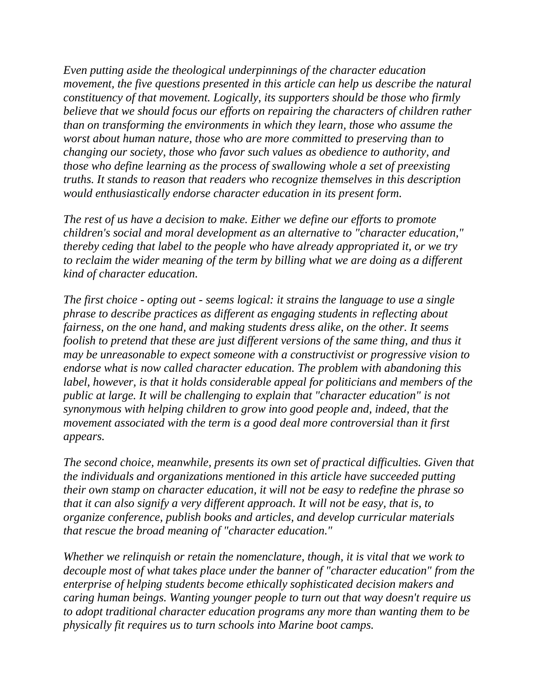*Even putting aside the theological underpinnings of the character education movement, the five questions presented in this article can help us describe the natural constituency of that movement. Logically, its supporters should be those who firmly believe that we should focus our efforts on repairing the characters of children rather than on transforming the environments in which they learn, those who assume the worst about human nature, those who are more committed to preserving than to changing our society, those who favor such values as obedience to authority, and those who define learning as the process of swallowing whole a set of preexisting truths. It stands to reason that readers who recognize themselves in this description would enthusiastically endorse character education in its present form.*

*The rest of us have a decision to make. Either we define our efforts to promote children's social and moral development as an alternative to "character education," thereby ceding that label to the people who have already appropriated it, or we try to reclaim the wider meaning of the term by billing what we are doing as a different kind of character education.*

*The first choice - opting out - seems logical: it strains the language to use a single phrase to describe practices as different as engaging students in reflecting about fairness, on the one hand, and making students dress alike, on the other. It seems foolish to pretend that these are just different versions of the same thing, and thus it may be unreasonable to expect someone with a constructivist or progressive vision to endorse what is now called character education. The problem with abandoning this label, however, is that it holds considerable appeal for politicians and members of the public at large. It will be challenging to explain that "character education" is not synonymous with helping children to grow into good people and, indeed, that the movement associated with the term is a good deal more controversial than it first appears.*

*The second choice, meanwhile, presents its own set of practical difficulties. Given that the individuals and organizations mentioned in this article have succeeded putting their own stamp on character education, it will not be easy to redefine the phrase so that it can also signify a very different approach. It will not be easy, that is, to organize conference, publish books and articles, and develop curricular materials that rescue the broad meaning of "character education."*

*Whether we relinquish or retain the nomenclature, though, it is vital that we work to decouple most of what takes place under the banner of "character education" from the enterprise of helping students become ethically sophisticated decision makers and caring human beings. Wanting younger people to turn out that way doesn't require us to adopt traditional character education programs any more than wanting them to be physically fit requires us to turn schools into Marine boot camps.*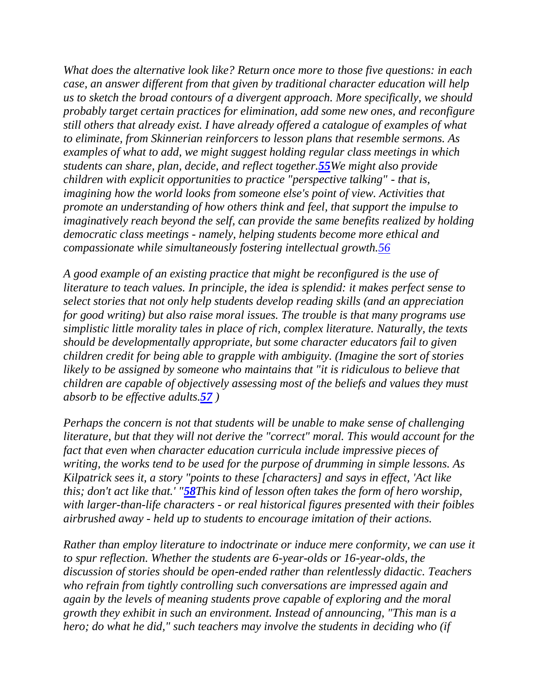*What does the alternative look like? Return once more to those five questions: in each case, an answer different from that given by traditional character education will help us to sketch the broad contours of a divergent approach. More specifically, we should probably target certain practices for elimination, add some new ones, and reconfigure still others that already exist. I have already offered a catalogue of examples of what to eliminate, from Skinnerian reinforcers to lesson plans that resemble sermons. As examples of what to add, we might suggest holding regular class meetings in which students can share, plan, decide, and reflect together.[55](file:///C:/Users/Michael/Desktop/AERA%20Stuff/Larry%20OldSite/kohn.html%2355)We might also provide children with explicit opportunities to practice "perspective talking" - that is, imagining how the world looks from someone else's point of view. Activities that promote an understanding of how others think and feel, that support the impulse to imaginatively reach beyond the self, can provide the same benefits realized by holding democratic class meetings - namely, helping students become more ethical and compassionate while simultaneously fostering intellectual growth[.56](file:///C:/Users/Michael/Desktop/AERA%20Stuff/Larry%20OldSite/kohn.html%2356)*

*A good example of an existing practice that might be reconfigured is the use of literature to teach values. In principle, the idea is splendid: it makes perfect sense to select stories that not only help students develop reading skills (and an appreciation for good writing) but also raise moral issues. The trouble is that many programs use simplistic little morality tales in place of rich, complex literature. Naturally, the texts should be developmentally appropriate, but some character educators fail to given children credit for being able to grapple with ambiguity. (Imagine the sort of stories likely to be assigned by someone who maintains that "it is ridiculous to believe that children are capable of objectively assessing most of the beliefs and values they must absorb to be effective adults.[57](file:///C:/Users/Michael/Desktop/AERA%20Stuff/Larry%20OldSite/kohn.html%2357) )*

*Perhaps the concern is not that students will be unable to make sense of challenging literature, but that they will not derive the "correct" moral. This would account for the fact that even when character education curricula include impressive pieces of writing, the works tend to be used for the purpose of drumming in simple lessons. As Kilpatrick sees it, a story "points to these [characters] and says in effect, 'Act like this; don't act like that.' "[58](file:///C:/Users/Michael/Desktop/AERA%20Stuff/Larry%20OldSite/kohn.html%2358)This kind of lesson often takes the form of hero worship, with larger-than-life characters - or real historical figures presented with their foibles airbrushed away - held up to students to encourage imitation of their actions.*

*Rather than employ literature to indoctrinate or induce mere conformity, we can use it to spur reflection. Whether the students are 6-year-olds or 16-year-olds, the discussion of stories should be open-ended rather than relentlessly didactic. Teachers who refrain from tightly controlling such conversations are impressed again and again by the levels of meaning students prove capable of exploring and the moral growth they exhibit in such an environment. Instead of announcing, "This man is a hero; do what he did," such teachers may involve the students in deciding who (if*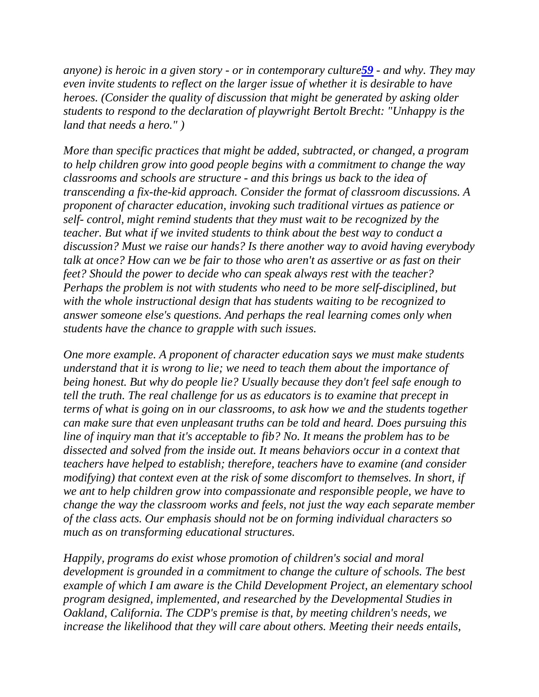*anyone) is heroic in a given story - or in contemporary culture[59](file:///C:/Users/Michael/Desktop/AERA%20Stuff/Larry%20OldSite/kohn.html%2359) - and why. They may even invite students to reflect on the larger issue of whether it is desirable to have heroes. (Consider the quality of discussion that might be generated by asking older students to respond to the declaration of playwright Bertolt Brecht: "Unhappy is the land that needs a hero." )*

*More than specific practices that might be added, subtracted, or changed, a program to help children grow into good people begins with a commitment to change the way classrooms and schools are structure - and this brings us back to the idea of transcending a fix-the-kid approach. Consider the format of classroom discussions. A proponent of character education, invoking such traditional virtues as patience or self- control, might remind students that they must wait to be recognized by the teacher. But what if we invited students to think about the best way to conduct a discussion? Must we raise our hands? Is there another way to avoid having everybody talk at once? How can we be fair to those who aren't as assertive or as fast on their feet? Should the power to decide who can speak always rest with the teacher? Perhaps the problem is not with students who need to be more self-disciplined, but with the whole instructional design that has students waiting to be recognized to answer someone else's questions. And perhaps the real learning comes only when students have the chance to grapple with such issues.*

*One more example. A proponent of character education says we must make students understand that it is wrong to lie; we need to teach them about the importance of being honest. But why do people lie? Usually because they don't feel safe enough to tell the truth. The real challenge for us as educators is to examine that precept in terms of what is going on in our classrooms, to ask how we and the students together can make sure that even unpleasant truths can be told and heard. Does pursuing this line of inquiry man that it's acceptable to fib? No. It means the problem has to be dissected and solved from the inside out. It means behaviors occur in a context that teachers have helped to establish; therefore, teachers have to examine (and consider modifying) that context even at the risk of some discomfort to themselves. In short, if we ant to help children grow into compassionate and responsible people, we have to change the way the classroom works and feels, not just the way each separate member of the class acts. Our emphasis should not be on forming individual characters so much as on transforming educational structures.*

*Happily, programs do exist whose promotion of children's social and moral development is grounded in a commitment to change the culture of schools. The best example of which I am aware is the Child Development Project, an elementary school program designed, implemented, and researched by the Developmental Studies in Oakland, California. The CDP's premise is that, by meeting children's needs, we increase the likelihood that they will care about others. Meeting their needs entails,*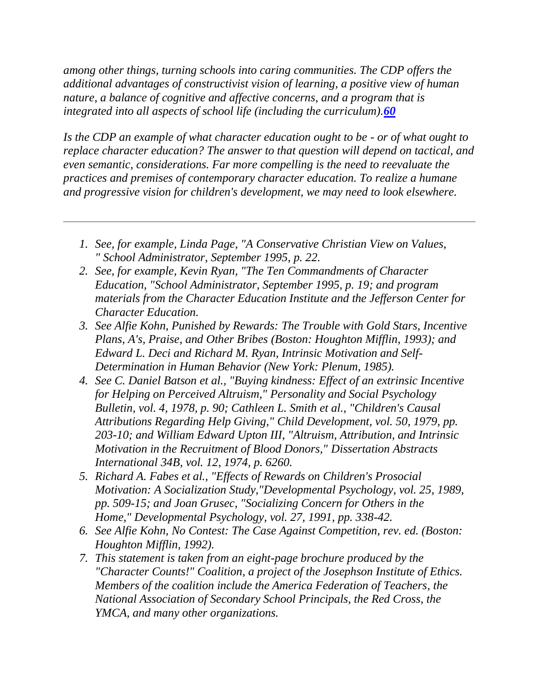*among other things, turning schools into caring communities. The CDP offers the additional advantages of constructivist vision of learning, a positive view of human nature, a balance of cognitive and affective concerns, and a program that is integrated into all aspects of school life (including the curriculum).[60](file:///C:/Users/Michael/Desktop/AERA%20Stuff/Larry%20OldSite/kohn.html%2360)*

*Is the CDP an example of what character education ought to be - or of what ought to replace character education? The answer to that question will depend on tactical, and even semantic, considerations. Far more compelling is the need to reevaluate the practices and premises of contemporary character education. To realize a humane and progressive vision for children's development, we may need to look elsewhere.*

- *1. See, for example, Linda Page, "A Conservative Christian View on Values, " School Administrator, September 1995, p. 22.*
- *2. See, for example, Kevin Ryan, "The Ten Commandments of Character Education, "School Administrator, September 1995, p. 19; and program materials from the Character Education Institute and the Jefferson Center for Character Education.*
- *3. See Alfie Kohn, Punished by Rewards: The Trouble with Gold Stars, Incentive Plans, A's, Praise, and Other Bribes (Boston: Houghton Mifflin, 1993); and Edward L. Deci and Richard M. Ryan, Intrinsic Motivation and Self-Determination in Human Behavior (New York: Plenum, 1985).*
- *4. See C. Daniel Batson et al., "Buying kindness: Effect of an extrinsic Incentive for Helping on Perceived Altruism," Personality and Social Psychology Bulletin, vol. 4, 1978, p. 90; Cathleen L. Smith et al., "Children's Causal Attributions Regarding Help Giving," Child Development, vol. 50, 1979, pp. 203-10; and William Edward Upton III, "Altruism, Attribution, and Intrinsic Motivation in the Recruitment of Blood Donors," Dissertation Abstracts International 34B, vol. 12, 1974, p. 6260.*
- *5. Richard A. Fabes et al., "Effects of Rewards on Children's Prosocial Motivation: A Socialization Study,"Developmental Psychology, vol. 25, 1989, pp. 509-15; and Joan Grusec, "Socializing Concern for Others in the Home," Developmental Psychology, vol. 27, 1991, pp. 338-42.*
- *6. See Alfie Kohn, No Contest: The Case Against Competition, rev. ed. (Boston: Houghton Mifflin, 1992).*
- *7. This statement is taken from an eight-page brochure produced by the "Character Counts!" Coalition, a project of the Josephson Institute of Ethics. Members of the coalition include the America Federation of Teachers, the National Association of Secondary School Principals, the Red Cross, the YMCA, and many other organizations.*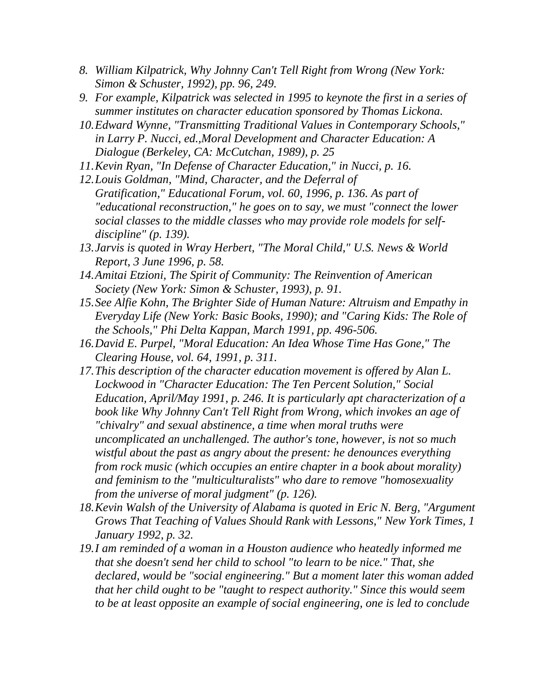- *8. William Kilpatrick, Why Johnny Can't Tell Right from Wrong (New York: Simon & Schuster, 1992), pp. 96, 249.*
- *9. For example, Kilpatrick was selected in 1995 to keynote the first in a series of summer institutes on character education sponsored by Thomas Lickona.*
- *10.Edward Wynne, "Transmitting Traditional Values in Contemporary Schools," in Larry P. Nucci, ed.,Moral Development and Character Education: A Dialogue (Berkeley, CA: McCutchan, 1989), p. 25*
- *11.Kevin Ryan, "In Defense of Character Education," in Nucci, p. 16.*
- *12.Louis Goldman, "Mind, Character, and the Deferral of Gratification," Educational Forum, vol. 60, 1996, p. 136. As part of "educational reconstruction," he goes on to say, we must "connect the lower social classes to the middle classes who may provide role models for selfdiscipline" (p. 139).*
- *13.Jarvis is quoted in Wray Herbert, "The Moral Child," U.S. News & World Report, 3 June 1996, p. 58.*
- *14.Amitai Etzioni, The Spirit of Community: The Reinvention of American Society (New York: Simon & Schuster, 1993), p. 91.*
- *15.See Alfie Kohn, The Brighter Side of Human Nature: Altruism and Empathy in Everyday Life (New York: Basic Books, 1990); and "Caring Kids: The Role of the Schools," Phi Delta Kappan, March 1991, pp. 496-506.*
- *16.David E. Purpel, "Moral Education: An Idea Whose Time Has Gone," The Clearing House, vol. 64, 1991, p. 311.*
- *17.This description of the character education movement is offered by Alan L. Lockwood in "Character Education: The Ten Percent Solution," Social Education, April/May 1991, p. 246. It is particularly apt characterization of a book like Why Johnny Can't Tell Right from Wrong, which invokes an age of "chivalry" and sexual abstinence, a time when moral truths were uncomplicated an unchallenged. The author's tone, however, is not so much wistful about the past as angry about the present: he denounces everything from rock music (which occupies an entire chapter in a book about morality) and feminism to the "multiculturalists" who dare to remove "homosexuality from the universe of moral judgment" (p. 126).*
- *18.Kevin Walsh of the University of Alabama is quoted in Eric N. Berg, "Argument Grows That Teaching of Values Should Rank with Lessons," New York Times, 1 January 1992, p. 32.*
- *19.I am reminded of a woman in a Houston audience who heatedly informed me that she doesn't send her child to school "to learn to be nice." That, she declared, would be "social engineering." But a moment later this woman added that her child ought to be "taught to respect authority." Since this would seem to be at least opposite an example of social engineering, one is led to conclude*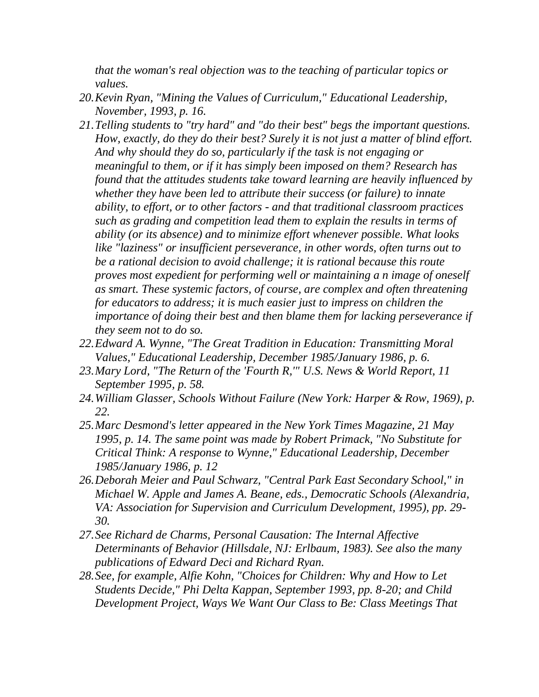*that the woman's real objection was to the teaching of particular topics or values.*

- *20.Kevin Ryan, "Mining the Values of Curriculum," Educational Leadership, November, 1993, p. 16.*
- *21.Telling students to "try hard" and "do their best" begs the important questions. How, exactly, do they do their best? Surely it is not just a matter of blind effort. And why should they do so, particularly if the task is not engaging or meaningful to them, or if it has simply been imposed on them? Research has found that the attitudes students take toward learning are heavily influenced by whether they have been led to attribute their success (or failure) to innate ability, to effort, or to other factors - and that traditional classroom practices such as grading and competition lead them to explain the results in terms of ability (or its absence) and to minimize effort whenever possible. What looks like "laziness" or insufficient perseverance, in other words, often turns out to be a rational decision to avoid challenge; it is rational because this route proves most expedient for performing well or maintaining a n image of oneself as smart. These systemic factors, of course, are complex and often threatening for educators to address; it is much easier just to impress on children the importance of doing their best and then blame them for lacking perseverance if they seem not to do so.*
- *22.Edward A. Wynne, "The Great Tradition in Education: Transmitting Moral Values," Educational Leadership, December 1985/January 1986, p. 6.*
- *23.Mary Lord, "The Return of the 'Fourth R,'" U.S. News & World Report, 11 September 1995, p. 58.*
- *24.William Glasser, Schools Without Failure (New York: Harper & Row, 1969), p. 22.*
- *25.Marc Desmond's letter appeared in the New York Times Magazine, 21 May 1995, p. 14. The same point was made by Robert Primack, "No Substitute for Critical Think: A response to Wynne," Educational Leadership, December 1985/January 1986, p. 12*
- *26.Deborah Meier and Paul Schwarz, "Central Park East Secondary School," in Michael W. Apple and James A. Beane, eds., Democratic Schools (Alexandria, VA: Association for Supervision and Curriculum Development, 1995), pp. 29- 30.*
- *27.See Richard de Charms, Personal Causation: The Internal Affective Determinants of Behavior (Hillsdale, NJ: Erlbaum, 1983). See also the many publications of Edward Deci and Richard Ryan.*
- *28.See, for example, Alfie Kohn, "Choices for Children: Why and How to Let Students Decide," Phi Delta Kappan, September 1993, pp. 8-20; and Child Development Project, Ways We Want Our Class to Be: Class Meetings That*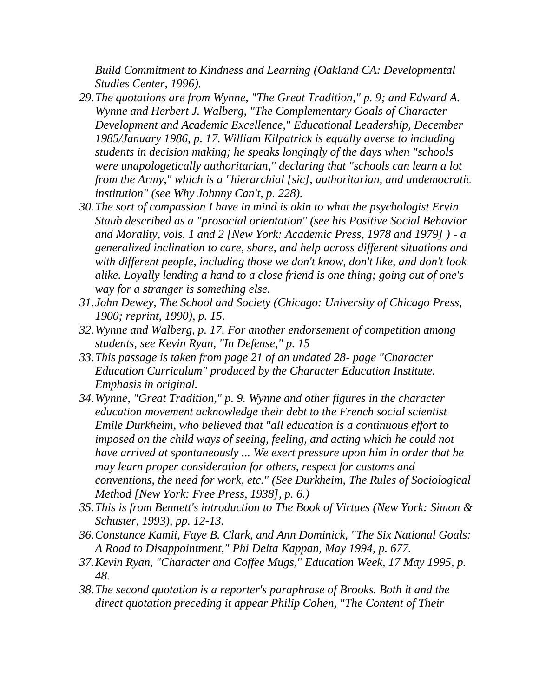*Build Commitment to Kindness and Learning (Oakland CA: Developmental Studies Center, 1996).*

- *29.The quotations are from Wynne, "The Great Tradition," p. 9; and Edward A. Wynne and Herbert J. Walberg, "The Complementary Goals of Character Development and Academic Excellence," Educational Leadership, December 1985/January 1986, p. 17. William Kilpatrick is equally averse to including students in decision making; he speaks longingly of the days when "schools were unapologetically authoritarian," declaring that "schools can learn a lot from the Army," which is a "hierarchial [sic], authoritarian, and undemocratic institution" (see Why Johnny Can't, p. 228).*
- *30.The sort of compassion I have in mind is akin to what the psychologist Ervin Staub described as a "prosocial orientation" (see his Positive Social Behavior and Morality, vols. 1 and 2 [New York: Academic Press, 1978 and 1979] ) - a generalized inclination to care, share, and help across different situations and with different people, including those we don't know, don't like, and don't look alike. Loyally lending a hand to a close friend is one thing; going out of one's way for a stranger is something else.*
- *31.John Dewey, The School and Society (Chicago: University of Chicago Press, 1900; reprint, 1990), p. 15.*
- *32.Wynne and Walberg, p. 17. For another endorsement of competition among students, see Kevin Ryan, "In Defense," p. 15*
- *33.This passage is taken from page 21 of an undated 28- page "Character Education Curriculum" produced by the Character Education Institute. Emphasis in original.*
- *34.Wynne, "Great Tradition," p. 9. Wynne and other figures in the character education movement acknowledge their debt to the French social scientist Emile Durkheim, who believed that "all education is a continuous effort to imposed on the child ways of seeing, feeling, and acting which he could not have arrived at spontaneously ... We exert pressure upon him in order that he may learn proper consideration for others, respect for customs and conventions, the need for work, etc." (See Durkheim, The Rules of Sociological Method [New York: Free Press, 1938], p. 6.)*
- *35.This is from Bennett's introduction to The Book of Virtues (New York: Simon & Schuster, 1993), pp. 12-13.*
- *36.Constance Kamii, Faye B. Clark, and Ann Dominick, "The Six National Goals: A Road to Disappointment," Phi Delta Kappan, May 1994, p. 677.*
- *37.Kevin Ryan, "Character and Coffee Mugs," Education Week, 17 May 1995, p. 48.*
- *38.The second quotation is a reporter's paraphrase of Brooks. Both it and the direct quotation preceding it appear Philip Cohen, "The Content of Their*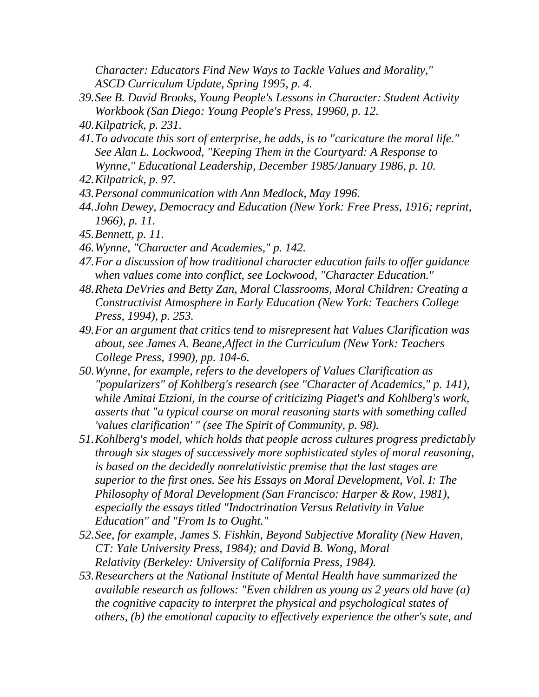*Character: Educators Find New Ways to Tackle Values and Morality," ASCD Curriculum Update, Spring 1995, p. 4.*

- *39.See B. David Brooks, Young People's Lessons in Character: Student Activity Workbook (San Diego: Young People's Press, 19960, p. 12.*
- *40.Kilpatrick, p. 231.*
- *41.To advocate this sort of enterprise, he adds, is to "caricature the moral life." See Alan L. Lockwood, "Keeping Them in the Courtyard: A Response to Wynne," Educational Leadership, December 1985/January 1986, p. 10.*
- *42.Kilpatrick, p. 97.*
- *43.Personal communication with Ann Medlock, May 1996.*
- *44.John Dewey, Democracy and Education (New York: Free Press, 1916; reprint, 1966), p. 11.*
- *45.Bennett, p. 11.*
- *46.Wynne, "Character and Academies," p. 142.*
- *47.For a discussion of how traditional character education fails to offer guidance when values come into conflict, see Lockwood, "Character Education."*
- *48.Rheta DeVries and Betty Zan, Moral Classrooms, Moral Children: Creating a Constructivist Atmosphere in Early Education (New York: Teachers College Press, 1994), p. 253.*
- *49.For an argument that critics tend to misrepresent hat Values Clarification was about, see James A. Beane,Affect in the Curriculum (New York: Teachers College Press, 1990), pp. 104-6.*
- *50.Wynne, for example, refers to the developers of Values Clarification as "popularizers" of Kohlberg's research (see "Character of Academics," p. 141), while Amitai Etzioni, in the course of criticizing Piaget's and Kohlberg's work, asserts that "a typical course on moral reasoning starts with something called 'values clarification' " (see The Spirit of Community, p. 98).*
- *51.Kohlberg's model, which holds that people across cultures progress predictably through six stages of successively more sophisticated styles of moral reasoning, is based on the decidedly nonrelativistic premise that the last stages are superior to the first ones. See his Essays on Moral Development, Vol. I: The Philosophy of Moral Development (San Francisco: Harper & Row, 1981), especially the essays titled "Indoctrination Versus Relativity in Value Education" and "From Is to Ought."*
- *52.See, for example, James S. Fishkin, Beyond Subjective Morality (New Haven, CT: Yale University Press, 1984); and David B. Wong, Moral Relativity (Berkeley: University of California Press, 1984).*
- *53.Researchers at the National Institute of Mental Health have summarized the available research as follows: "Even children as young as 2 years old have (a) the cognitive capacity to interpret the physical and psychological states of others, (b) the emotional capacity to effectively experience the other's sate, and*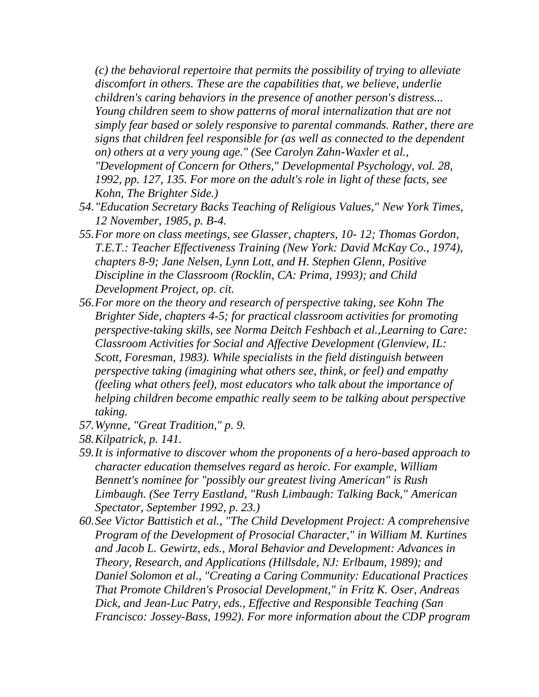*(c) the behavioral repertoire that permits the possibility of trying to alleviate discomfort in others. These are the capabilities that, we believe, underlie children's caring behaviors in the presence of another person's distress... Young children seem to show patterns of moral internalization that are not simply fear based or solely responsive to parental commands. Rather, there are signs that children feel responsible for (as well as connected to the dependent on) others at a very young age." (See Carolyn Zahn-Waxler et al., "Development of Concern for Others," Developmental Psychology, vol. 28, 1992, pp. 127, 135. For more on the adult's role in light of these facts, see Kohn, The Brighter Side.)*

- *54."Education Secretary Backs Teaching of Religious Values," New York Times, 12 November, 1985, p. B-4.*
- *55.For more on class meetings, see Glasser, chapters, 10- 12; Thomas Gordon, T.E.T.: Teacher Effectiveness Training (New York: David McKay Co., 1974), chapters 8-9; Jane Nelsen, Lynn Lott, and H. Stephen Glenn, Positive Discipline in the Classroom (Rocklin, CA: Prima, 1993); and Child Development Project, op. cit.*
- *56.For more on the theory and research of perspective taking, see Kohn The Brighter Side, chapters 4-5; for practical classroom activities for promoting perspective-taking skills, see Norma Deitch Feshbach et al.,Learning to Care: Classroom Activities for Social and Affective Development (Glenview, IL: Scott, Foresman, 1983). While specialists in the field distinguish between perspective taking (imagining what others see, think, or feel) and empathy (feeling what others feel), most educators who talk about the importance of helping children become empathic really seem to be talking about perspective taking.*
- *57.Wynne, "Great Tradition," p. 9.*
- *58.Kilpatrick, p. 141.*
- *59.It is informative to discover whom the proponents of a hero-based approach to character education themselves regard as heroic. For example, William Bennett's nominee for "possibly our greatest living American" is Rush Limbaugh. (See Terry Eastland, "Rush Limbaugh: Talking Back," American Spectator, September 1992, p. 23.)*
- *60.See Victor Battistich et al., "The Child Development Project: A comprehensive Program of the Development of Prosocial Character," in William M. Kurtines and Jacob L. Gewirtz, eds., Moral Behavior and Development: Advances in Theory, Research, and Applications (Hillsdale, NJ: Erlbaum, 1989); and Daniel Solomon et al., "Creating a Caring Community: Educational Practices That Promote Children's Prosocial Development," in Fritz K. Oser, Andreas Dick, and Jean-Luc Patry, eds., Effective and Responsible Teaching (San Francisco: Jossey-Bass, 1992). For more information about the CDP program*